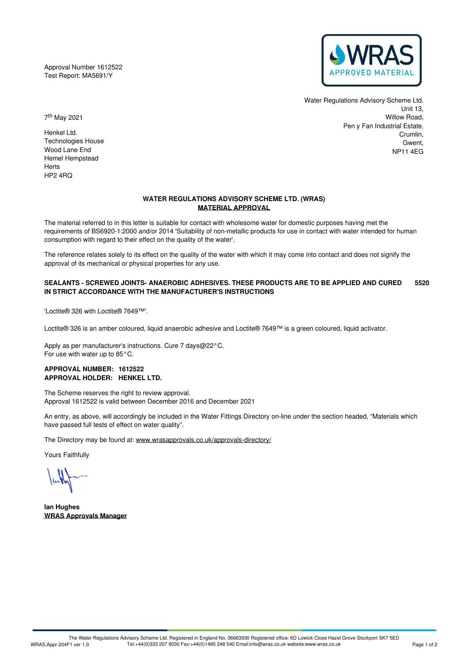Approval Number 1612522 Test Report: MA5691/Y



Water Regulations Advisory Scheme Ltd. Unit 13, Willow Road, Pen y Fan Industrial Estate, Crumlin, Gwent, NP11 4EG

7 th May 2021

Henkel Ltd. Technologies House Wood Lane End Hemel Hempstead Herts HP2 4RQ

# **WATER REGULATIONS ADVISORY SCHEME LTD. (WRAS) MATERIAL APPROVAL**

The material referred to in this letter is suitable for contact with wholesome water for domestic purposes having met the requirements of BS6920-1:2000 and/or 2014 'Suitability of non-metallic products for use in contact with water intended for human consumption with regard to their effect on the quality of the water'.

The reference relates solely to its effect on the quality of the water with which it may come into contact and does not signify the approval of its mechanical or physical properties for any use.

#### **SEALANTS - SCREWED JOINTS- ANAEROBIC ADHESIVES. THESE PRODUCTS ARE TO BE APPLIED AND CURED IN STRICT ACCORDANCE WITH THE MANUFACTURER'S INSTRUCTIONS 5520**

'Loctite® 326 with Loctite® 7649™'.

Loctite® 326 is an amber coloured, liquid anaerobic adhesive and Loctite® 7649™ is a green coloured, liquid activator.

Apply as per manufacturer's instructions. Cure 7 days@22°C. For use with water up to 85°C.

# **APPROVAL NUMBER: 1612522 APPROVAL HOLDER: HENKEL LTD.**

The Scheme reserves the right to review approval. Approval 1612522 is valid between December 2016 and December 2021

An entry, as above, will accordingly be included in the Water Fittings Directory on-line under the section headed, "Materials which have passed full tests of effect on water quality".

The Directory may be found at: [www.wrasapprovals.co.uk/approvals-directory/](https://www.wrasapprovals.co.uk/approvals-directory/)

Yours Faithfully

**Ian Hughes WRAS Approvals Manager**